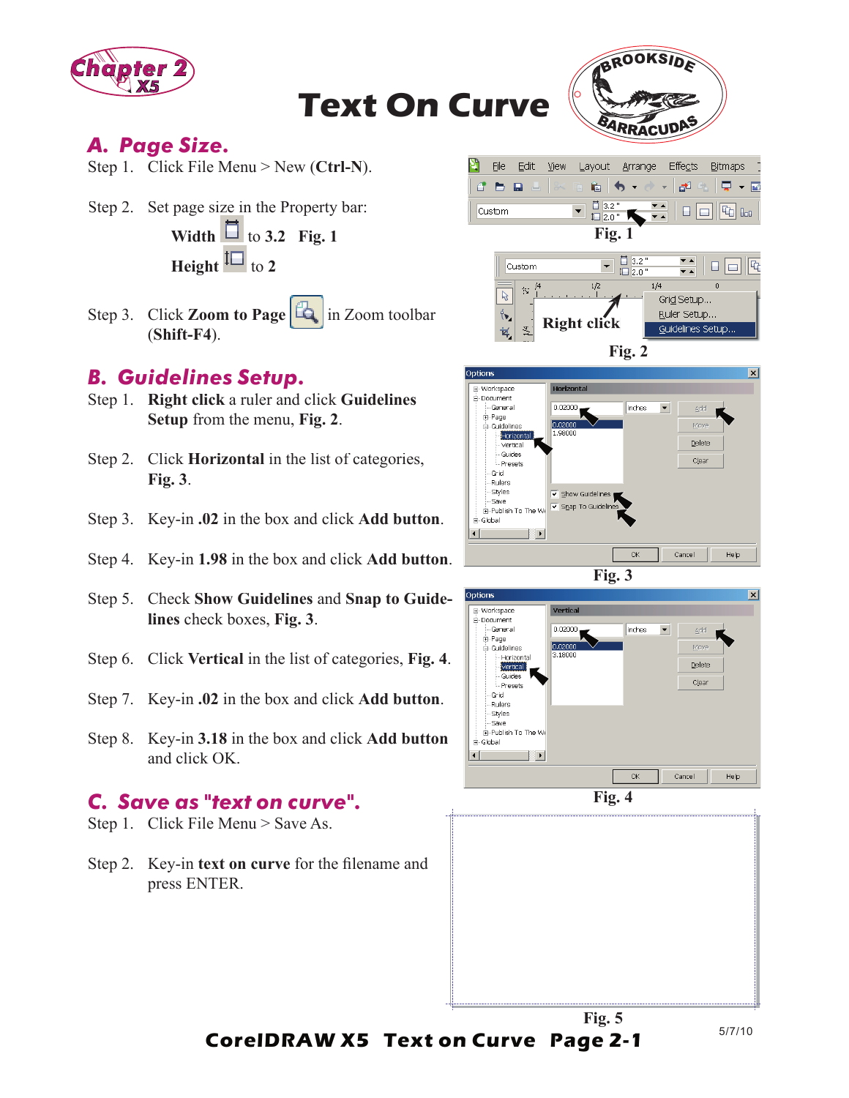

**Text On Curve**



Guidelines Setup.

### *A. Page Size.*

- Step 1. Click File Menu > New (**Ctrl-N**).
- Step 2. Set page size in the Property bar: **Width**  $\Box$  to 3.2 Fig. 1

**Height**  $\boxed{\phantom{1}}$  to 2

Step 3. Click **Zoom to Page** in Zoom toolbar (**Shift-F4**).

#### *B. Guidelines Setup.*

- Step 1. **Right click** a ruler and click **Guidelines Setup** from the menu, **Fig. 2**.
- Step 2. Click **Horizontal** in the list of categories, **Fig. 3**.
- Step 3. Key-in **.02** in the box and click **Add button**.
- Step 4. Key-in **1.98** in the box and click **Add button**.
- Step 5. Check **Show Guidelines** and **Snap to Guidelines** check boxes, **Fig. 3**.
- Step 6. Click **Vertical** in the list of categories, **Fig. 4**.
- Step 7. Key-in **.02** in the box and click **Add button**.
- Step 8. Key-in **3.18** in the box and click **Add button** and click OK.

#### *C. Save as "text on curve".*

- Step 1. Click File Menu > Save As.
- Step 2. Key-in **text on curve** for the filename and press ENTER.



 $\frac{4}{5}$ 







**Fig. 5**

5/7/10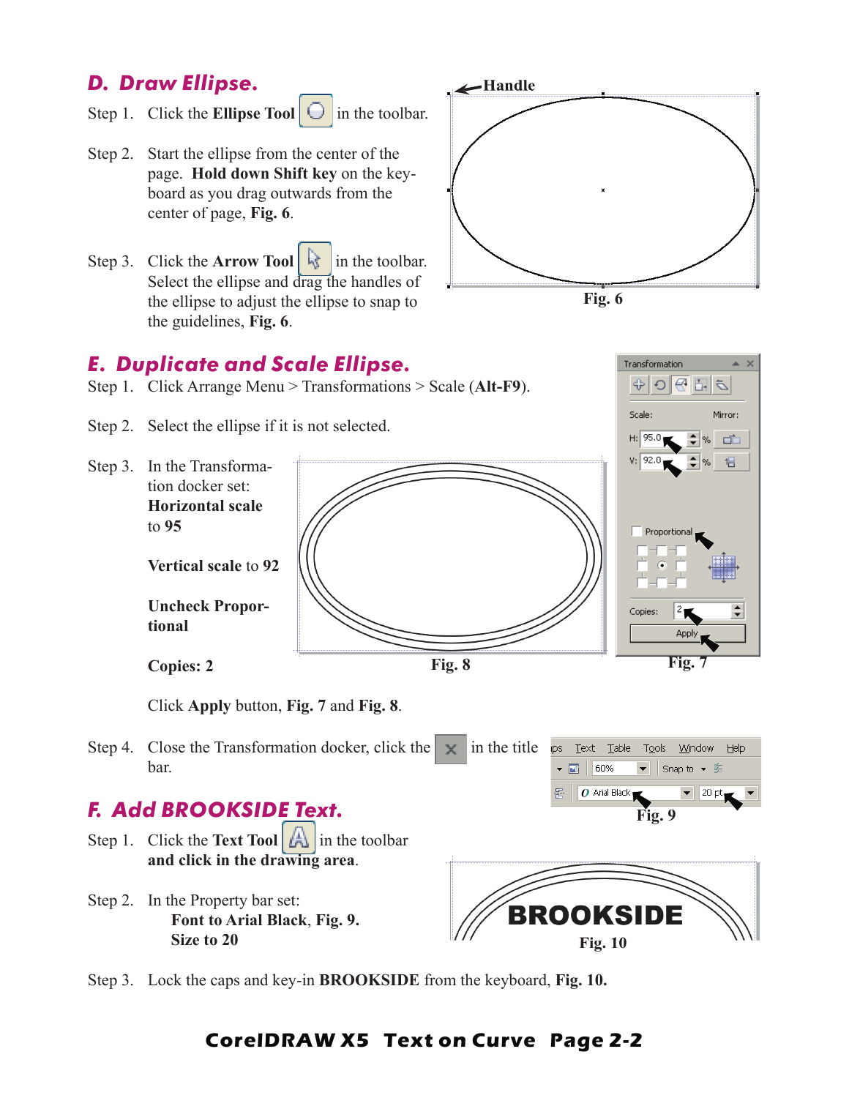# *D. Draw Ellipse.*

- Step 1. Click the **Ellipse Tool**  $\Box$  in the toolbar.
- Step 2. Start the ellipse from the center of the page. **Hold down Shift key** on the keyboard as you drag outwards from the center of page, **Fig. 6**.
- Step 3. Click the **Arrow Tool** in the toolbar. Select the ellipse and drag the handles of the ellipse to adjust the ellipse to snap to the guidelines, **Fig. 6**.





Transformation ⊕∣

Scale:

 $\sigma$  너 있어

Mirror:

### *E. Duplicate and Scale Ellipse.*

- Step 1. Click Arrange Menu > Transformations > Scale (**Alt-F9**).
- Step 2. Select the ellipse if it is not selected.



Click **Apply** button, **Fig. 7** and **Fig. 8**.

Step 4. Close the Transformation docker, click the  $\vert \times \vert$  in the title ips Text Table Window Help  $TQOS$ bar.  $\bullet$   $\blacksquare$  | 60% Snap to • 瓷

### *F. Add BROOKSIDE Text.*

- Step 1. Click the **Text Tool**  $\boxed{A}$  in the toolbar **and click in the drawing area**.
- Step 2. In the Property bar set: **Font to Arial Black**, **Fig. 9. Size to 20**



 $O$  Arial Black

**Fig. 9**

20 pt

Step 3. Lock the caps and key-in **BROOKSIDE** from the keyboard, **Fig. 10.**

### **CorelDRAW X5 Text on Curve Page 2-2**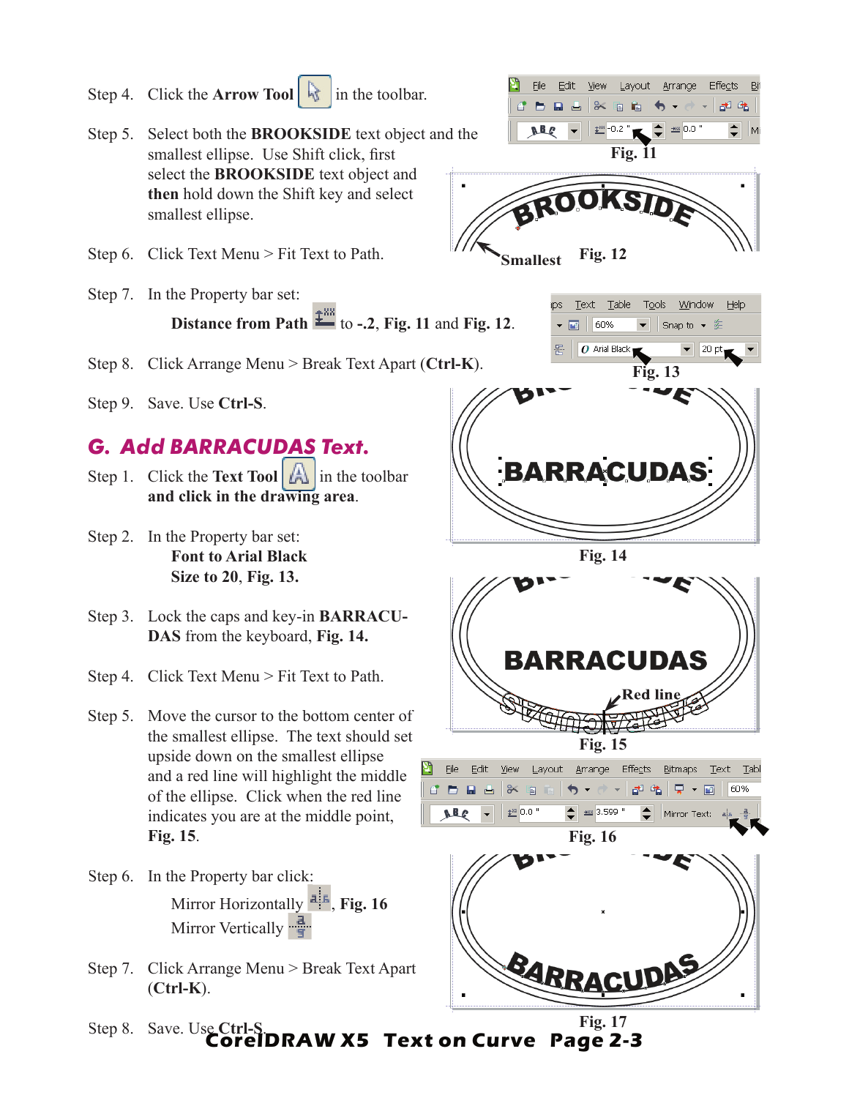Step 4. Click the **Arrow Tool** in the toolbar. 8年 电  $\frac{1}{2}$  0.0 Step 5. Select both the **BROOKSIDE** text object and the smallest ellipse. Use Shift click, first **Fig. 11** select the **BROOKSIDE** text object and **BROOKS then** hold down the Shift key and select smallest ellipse. Step 6. Click Text Menu > Fit Text to Path. **Fig. 12 Smallest** Step 7. In the Property bar set: Text Table Tools Window Help **Distance from Path**  $\frac{1}{2}$  **to -.2, Fig. 11 and Fig. 12.**  $\bullet$   $\blacksquare$  60% Snap to ▼ 差 O Arial Black  $|20pt$ Step 8. Click Arrange Menu > Break Text Apart (**Ctrl-K**). **Fig. 13** Step 9. Save. Use **Ctrl-S**. *G. Add BARRACUDAS Text.* **BARRACUDAS** Step 1. Click the **Text Tool**  $\left|\bigwedge_{n=1}^{\infty}\right|$  in the toolbar **and click in the drawing area**. Step 2. In the Property bar set: **Font to Arial Black Fig. 14 Size to 20**, **Fig. 13.** Step 3. Lock the caps and key-in **BARRACU-DAS** from the keyboard, **Fig. 14. BARRACUDAS** Step 4. Click Text Menu > Fit Text to Path. **Red line**Step 5. Move the cursor to the bottom center of the smallest ellipse. The text should set **Fig. 15** upside down on the smallest ellipse File View Layout Arrange Effects Bitmaps Text Table Edit and a red line will highlight the middle  $\nabla - \mathbf{F}$ n n 88 € 60% of the ellipse. Click when the red line ABC  $\leftarrow$   $\frac{1}{2}$  3.599  $\frac{1}{2}$ <sup>88</sup> 0.0 indicates you are at the middle point, Mirror Text: **Fig. 15**. **Fig. 16** Step 6. In the Property bar click: Mirror Horizontally **Fig.** 16 Mirror Vertically

File

Edit View Layout Arrange

BARRACUDAS

Effects

Step 7. Click Arrange Menu > Break Text Apart (**Ctrl-K**).

**CorelDRAW X5 Text on Curve Page 2-3** Step 8. Save. Use **Ctrl-S**. **Fig. 17**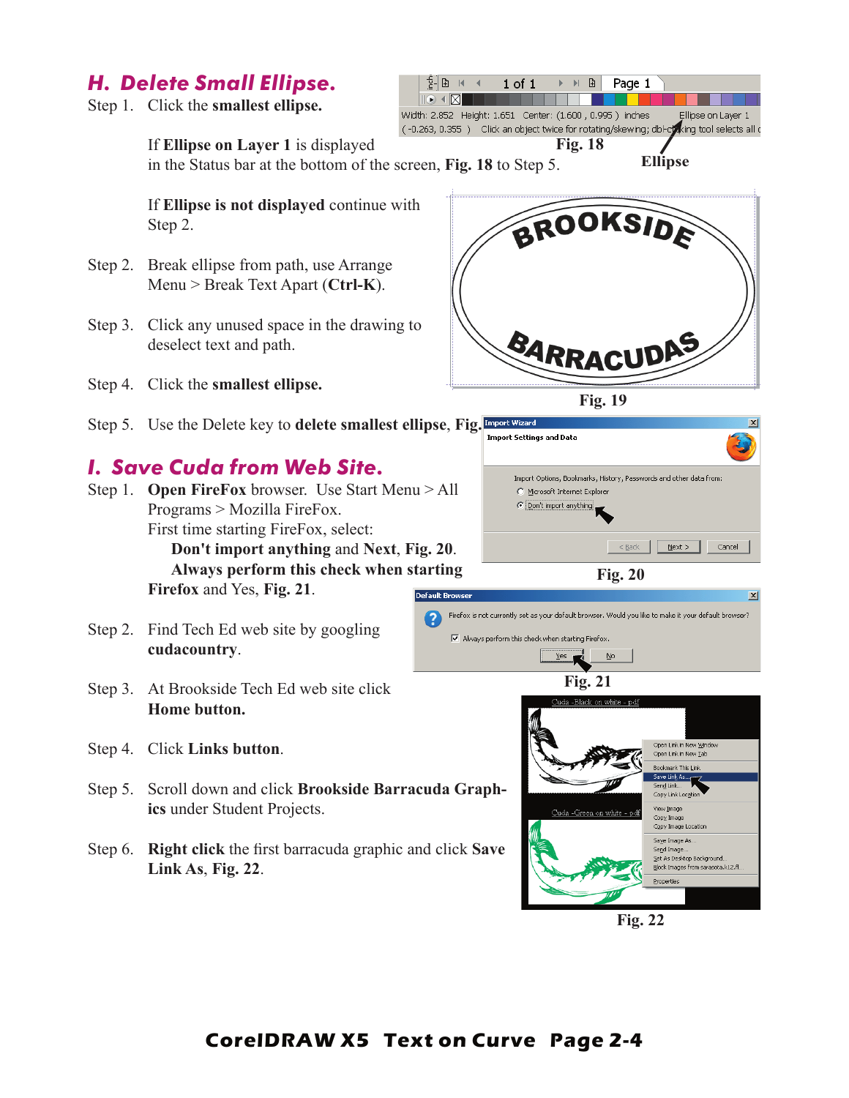## *H. Delete Small Ellipse.*

Step 1. Click the **smallest ellipse.**

 $E$   $E$   $\rightarrow$   $E$  $1$  of  $1$  $\triangleright$   $\triangleright$   $\uplus$  Page 1  $\overline{\mathbb{R}} \setminus \overline{\mathbb{R}}$ Width: 2.852 Height: 1.651 Center: (1.600, 0.995) inches Ellipse on Layer 1 (-0.263, 0.355) Click an object twice for rotating/skewing; dbl-chaking tool selects all o **Fig. 18Ellipse**

If **Ellipse on Layer 1** is displayed

in the Status bar at the bottom of the screen, **Fig. 18** to Step 5.

If **Ellipse is not displayed** continue with Step 2.

- Step 2. Break ellipse from path, use Arrange Menu > Break Text Apart (**Ctrl-K**).
- Step 3. Click any unused space in the drawing to deselect text and path.

Step 4. Click the **smallest ellipse.**

Step 5. Use the Delete key to **delete smallest ellipse**, Fig. Import Wizard

## *I. Save Cuda from Web Site.*

- Step 1. **Open FireFox** browser. Use Start Menu > All Programs > Mozilla FireFox. First time starting FireFox, select: **Don't import anything** and **Next**, **Fig. 20**. **Always perform this check when starting Firefox** and Yes, **Fig. 21**. **Default Browse**
- Step 2. Find Tech Ed web site by googling **cudacountry**.
- Step 3. At Brookside Tech Ed web site click **Home button.**
- Step 4. Click **Links button**.
- Step 5. Scroll down and click **Brookside Barracuda Graphics** under Student Projects.
- Step 6. **Right click** the first barracuda graphic and click **Save Link As**, **Fig. 22**.



**Fig. 19**







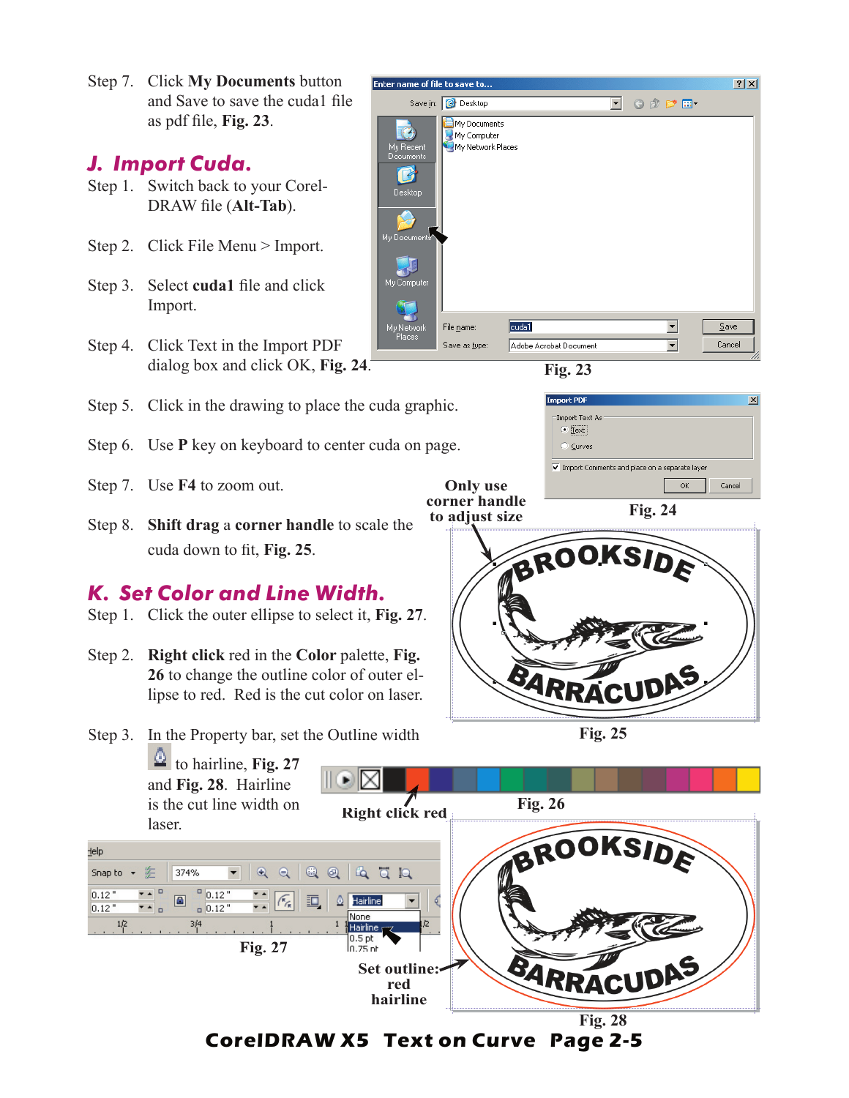Step 7. Click **My Documents** button and Save to save the cuda1 file as pdf file, **Fig. 23**.

### *J. Import Cuda.*

- Step 1. Switch back to your Corel-DRAW file (Alt-Tab).
- Step 2. Click File Menu > Import.
- Step 3. Select **cuda1** file and click Import.
- Step 4. Click Text in the Import PDF dialog box and click OK, **Fig. 24**.
- Step 5. Click in the drawing to place the cuda graphic.
- Step 6. Use **P** key on keyboard to center cuda on page.
- Step 7. Use **F4** to zoom out.
- Step 8. **Shift drag** a **corner handle** to scale the cuda down to fit, Fig. 25.

## *K. Set Color and Line Width.*

- Step 1. Click the outer ellipse to select it, **Fig. 27**.
- Step 2. **Right click** red in the **Color** palette, **Fig. 26** to change the outline color of outer ellipse to red. Red is the cut color on laser.
- Step 3. In the Property bar, set the Outline width





| phic.                           | ⊠<br><b>Import PDF</b>                        |
|---------------------------------|-----------------------------------------------|
|                                 | Import Text As                                |
|                                 | $\odot$ [[ext]                                |
| page.                           | C Curves                                      |
|                                 | Import Comments and place on a separate layer |
| <b>Only use</b>                 | Cancel<br>OK                                  |
| corner handle<br>to adjust size | <b>Fig. 24</b>                                |
|                                 | BROOKSIDE<br>ARRACUDAS                        |

**Fig. 25**